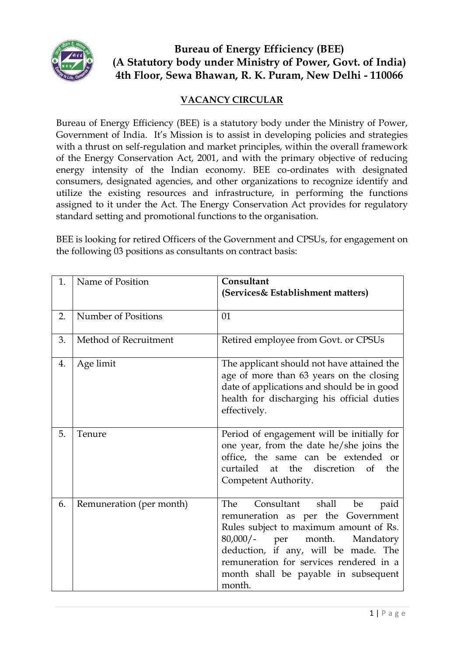

# **Bureau of Energy Efficiency (BEE) (A Statutory body under Ministry of Power, Govt. of India) 4th Floor, Sewa Bhawan, R. K. Puram, New Delhi - 110066**

## **VACANCY CIRCULAR**

Bureau of Energy Efficiency (BEE) is a statutory body under the Ministry of Power, Government of India. It's Mission is to assist in developing policies and strategies with a thrust on self-regulation and market principles, within the overall framework of the Energy Conservation Act, 2001, and with the primary objective of reducing energy intensity of the Indian economy. BEE co-ordinates with designated consumers, designated agencies, and other organizations to recognize identify and utilize the existing resources and infrastructure, in performing the functions assigned to it under the Act. The Energy Conservation Act provides for regulatory standard setting and promotional functions to the organisation.

BEE is looking for retired Officers of the Government and CPSUs, for engagement on the following 03 positions as consultants on contract basis:

| 1. | Name of Position         | Consultant<br>(Services& Establishment matters)                                                                                                                                                                                                                                                         |  |  |  |
|----|--------------------------|---------------------------------------------------------------------------------------------------------------------------------------------------------------------------------------------------------------------------------------------------------------------------------------------------------|--|--|--|
| 2. | Number of Positions      | 01                                                                                                                                                                                                                                                                                                      |  |  |  |
| 3. | Method of Recruitment    | Retired employee from Govt. or CPSUs                                                                                                                                                                                                                                                                    |  |  |  |
| 4. | Age limit                | The applicant should not have attained the<br>age of more than 63 years on the closing<br>date of applications and should be in good<br>health for discharging his official duties<br>effectively.                                                                                                      |  |  |  |
| 5. | Tenure                   | Period of engagement will be initially for<br>one year, from the date he/she joins the<br>office, the same can be extended or<br>curtailed at the discretion of the<br>Competent Authority.                                                                                                             |  |  |  |
| 6. | Remuneration (per month) | Consultant shall<br>The<br>be<br>paid<br>remuneration as per the Government<br>Rules subject to maximum amount of Rs.<br>$80,000/$ -<br>month.<br>Mandatory<br>per<br>deduction, if any, will be made. The<br>remuneration for services rendered in a<br>month shall be payable in subsequent<br>month. |  |  |  |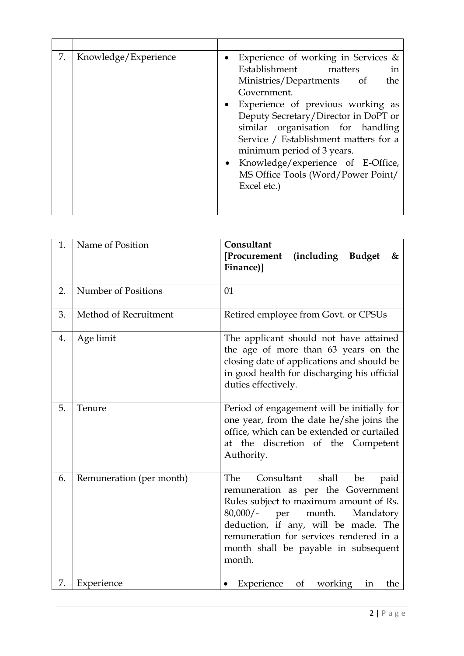| 7.<br>Knowledge/Experience | • Experience of working in Services $\&$<br>Establishment matters<br>in<br>Ministries/Departments of<br>the<br>Government.<br>• Experience of previous working as<br>Deputy Secretary/Director in DoPT or<br>similar organisation for handling<br>Service / Establishment matters for a<br>minimum period of 3 years.<br>• Knowledge/experience of E-Office,<br>MS Office Tools (Word/Power Point/<br>Excel etc.) |
|----------------------------|-------------------------------------------------------------------------------------------------------------------------------------------------------------------------------------------------------------------------------------------------------------------------------------------------------------------------------------------------------------------------------------------------------------------|

| 1. | Name of Position         | Consultant<br>[Procurement<br>(including Budget<br>&<br>Finance)]                                                                                                                                                                                                                                         |  |  |  |
|----|--------------------------|-----------------------------------------------------------------------------------------------------------------------------------------------------------------------------------------------------------------------------------------------------------------------------------------------------------|--|--|--|
| 2. | Number of Positions      | 01                                                                                                                                                                                                                                                                                                        |  |  |  |
| 3. | Method of Recruitment    | Retired employee from Govt. or CPSUs                                                                                                                                                                                                                                                                      |  |  |  |
| 4. | Age limit                | The applicant should not have attained<br>the age of more than 63 years on the<br>closing date of applications and should be<br>in good health for discharging his official<br>duties effectively.                                                                                                        |  |  |  |
| 5. | Tenure                   | Period of engagement will be initially for<br>one year, from the date he/she joins the<br>office, which can be extended or curtailed<br>at the discretion of the Competent<br>Authority.                                                                                                                  |  |  |  |
| 6. | Remuneration (per month) | Consultant<br>shall<br>The<br>be<br>paid<br>remuneration as per the Government<br>Rules subject to maximum amount of Rs.<br>$80,000/-$<br>month.<br>Mandatory<br>per<br>deduction, if any, will be made. The<br>remuneration for services rendered in a<br>month shall be payable in subsequent<br>month. |  |  |  |
| 7. | Experience               | <sub>of</sub><br>Experience<br>working<br>the<br>in                                                                                                                                                                                                                                                       |  |  |  |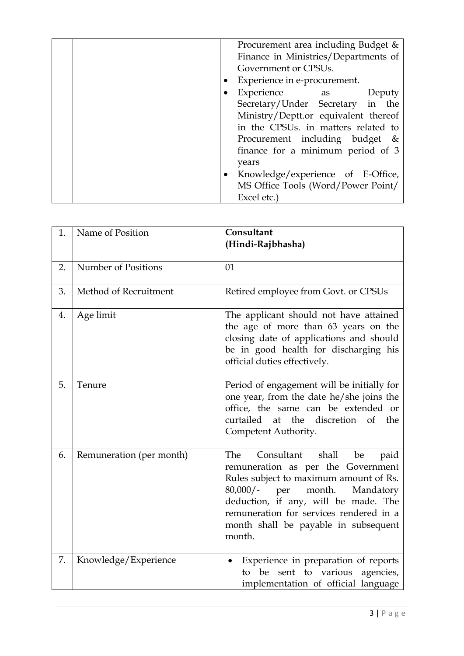|  |                              | Procurement area including Budget &  |  |
|--|------------------------------|--------------------------------------|--|
|  |                              | Finance in Ministries/Departments of |  |
|  | Government or CPSUs.         |                                      |  |
|  | Experience in e-procurement. |                                      |  |
|  |                              | Experience as<br>Deputy              |  |
|  |                              | Secretary/Under Secretary in the     |  |
|  |                              | Ministry/Deptt.or equivalent thereof |  |
|  |                              | in the CPSUs. in matters related to  |  |
|  |                              | Procurement including budget &       |  |
|  |                              | finance for a minimum period of 3    |  |
|  |                              | years                                |  |
|  |                              | • Knowledge/experience of E-Office,  |  |
|  |                              | MS Office Tools (Word/Power Point/   |  |
|  |                              | Excel etc.)                          |  |

| 1. | Name of Position         | Consultant<br>(Hindi-Rajbhasha)                                                                                                                                                                                                                                                                           |  |  |  |  |
|----|--------------------------|-----------------------------------------------------------------------------------------------------------------------------------------------------------------------------------------------------------------------------------------------------------------------------------------------------------|--|--|--|--|
| 2. | Number of Positions      | 01                                                                                                                                                                                                                                                                                                        |  |  |  |  |
| 3. | Method of Recruitment    | Retired employee from Govt. or CPSUs                                                                                                                                                                                                                                                                      |  |  |  |  |
| 4. | Age limit                | The applicant should not have attained<br>the age of more than 63 years on the<br>closing date of applications and should<br>be in good health for discharging his<br>official duties effectively.                                                                                                        |  |  |  |  |
| 5. | Tenure                   | Period of engagement will be initially for<br>one year, from the date he/she joins the<br>office, the same can be extended or<br>curtailed<br>the<br>discretion of<br>the<br>at<br>Competent Authority.                                                                                                   |  |  |  |  |
| 6. | Remuneration (per month) | Consultant<br>shall<br>The<br>be<br>paid<br>remuneration as per the Government<br>Rules subject to maximum amount of Rs.<br>$80,000/-$<br>month.<br>Mandatory<br>per<br>deduction, if any, will be made. The<br>remuneration for services rendered in a<br>month shall be payable in subsequent<br>month. |  |  |  |  |
| 7. | Knowledge/Experience     | Experience in preparation of reports<br>sent to various<br>agencies,<br>be<br>to<br>implementation of official language                                                                                                                                                                                   |  |  |  |  |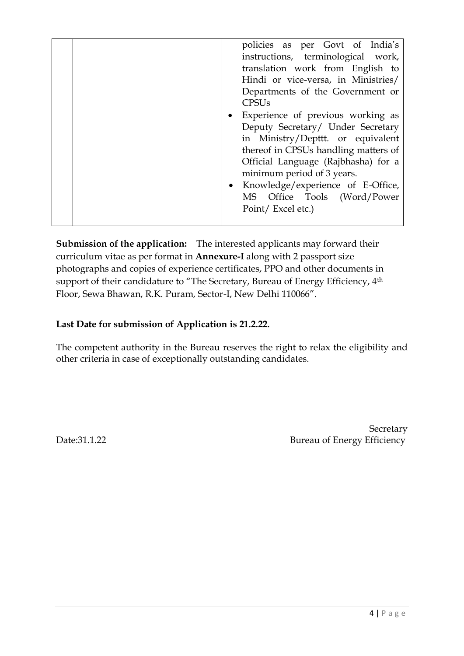|  | policies as per Govt of India's<br>instructions, terminological work,<br>translation work from English to<br>Hindi or vice-versa, in Ministries/<br>Departments of the Government or<br><b>CPSU<sub>s</sub></b><br>• Experience of previous working as<br>Deputy Secretary/ Under Secretary<br>in Ministry/Depttt. or equivalent<br>thereof in CPSUs handling matters of<br>Official Language (Rajbhasha) for a<br>minimum period of 3 years.<br>Knowledge/experience of E-Office,<br>MS Office Tools (Word/Power<br>Point/Excel etc.) |
|--|----------------------------------------------------------------------------------------------------------------------------------------------------------------------------------------------------------------------------------------------------------------------------------------------------------------------------------------------------------------------------------------------------------------------------------------------------------------------------------------------------------------------------------------|
|--|----------------------------------------------------------------------------------------------------------------------------------------------------------------------------------------------------------------------------------------------------------------------------------------------------------------------------------------------------------------------------------------------------------------------------------------------------------------------------------------------------------------------------------------|

**Submission of the application:** The interested applicants may forward their curriculum vitae as per format in **Annexure-I** along with 2 passport size photographs and copies of experience certificates, PPO and other documents in support of their candidature to "The Secretary, Bureau of Energy Efficiency, 4<sup>th</sup> Floor, Sewa Bhawan, R.K. Puram, Sector-I, New Delhi 110066".

## **Last Date for submission of Application is 21.2.22.**

The competent authority in the Bureau reserves the right to relax the eligibility and other criteria in case of exceptionally outstanding candidates.

**Secretary** Date:31.1.22 Bureau of Energy Efficiency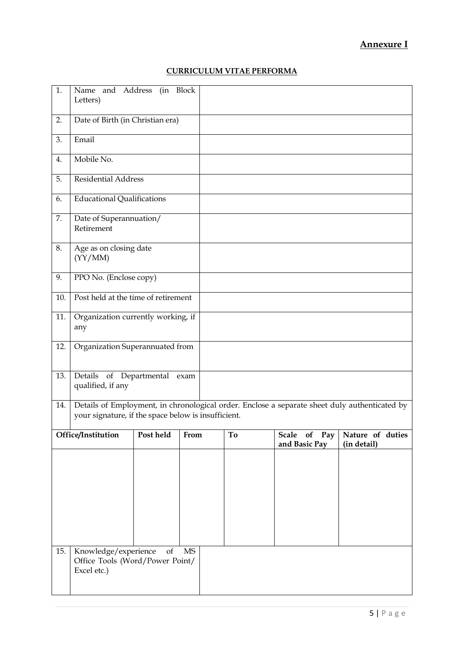### **Annexure I**

#### **CURRICULUM VITAE PERFORMA**

| 1.  | Name and Address<br>(in Block<br>Letters)                                                                                                            |                  |    |       |                               |                                 |  |
|-----|------------------------------------------------------------------------------------------------------------------------------------------------------|------------------|----|-------|-------------------------------|---------------------------------|--|
| 2.  | Date of Birth (in Christian era)                                                                                                                     |                  |    |       |                               |                                 |  |
| 3.  | Email                                                                                                                                                |                  |    |       |                               |                                 |  |
| 4.  | Mobile No.                                                                                                                                           |                  |    |       |                               |                                 |  |
| 5.  | <b>Residential Address</b>                                                                                                                           |                  |    |       |                               |                                 |  |
| 6.  | <b>Educational Qualifications</b>                                                                                                                    |                  |    |       |                               |                                 |  |
| 7.  | Date of Superannuation/<br>Retirement                                                                                                                |                  |    |       |                               |                                 |  |
| 8.  | Age as on closing date<br>(YY/MM)                                                                                                                    |                  |    |       |                               |                                 |  |
| 9.  | PPO No. (Enclose copy)                                                                                                                               |                  |    |       |                               |                                 |  |
| 10. | Post held at the time of retirement                                                                                                                  |                  |    |       |                               |                                 |  |
| 11. | Organization currently working, if<br>any                                                                                                            |                  |    |       |                               |                                 |  |
| 12. | Organization Superannuated from                                                                                                                      |                  |    |       |                               |                                 |  |
| 13. | Details of Departmental exam<br>qualified, if any                                                                                                    |                  |    |       |                               |                                 |  |
| 14. | Details of Employment, in chronological order. Enclose a separate sheet duly authenticated by<br>your signature, if the space below is insufficient. |                  |    |       |                               |                                 |  |
|     | Post held From<br>Office/Institution                                                                                                                 |                  |    | $T$ o | Scale of Pay<br>and Basic Pay | Nature of duties<br>(in detail) |  |
|     |                                                                                                                                                      |                  |    |       |                               |                                 |  |
|     |                                                                                                                                                      |                  |    |       |                               |                                 |  |
|     |                                                                                                                                                      |                  |    |       |                               |                                 |  |
|     |                                                                                                                                                      |                  |    |       |                               |                                 |  |
|     |                                                                                                                                                      |                  |    |       |                               |                                 |  |
| 15. | Knowledge/experience<br>Office Tools (Word/Power Point/<br>Excel etc.)                                                                               | $_{\mathrm{of}}$ | MS |       |                               |                                 |  |